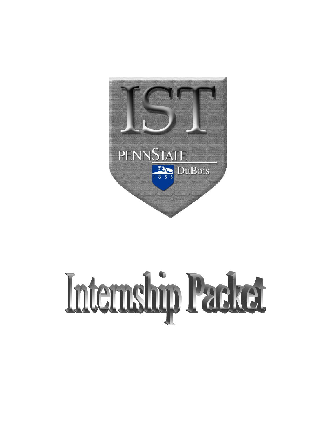

# Internship Packet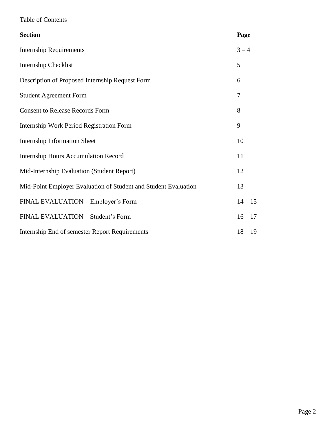# Table of Contents

| <b>Section</b>                                                  | Page      |
|-----------------------------------------------------------------|-----------|
| <b>Internship Requirements</b>                                  | $3 - 4$   |
| Internship Checklist                                            | 5         |
| Description of Proposed Internship Request Form                 | 6         |
| <b>Student Agreement Form</b>                                   | 7         |
| <b>Consent to Release Records Form</b>                          | 8         |
| Internship Work Period Registration Form                        | 9         |
| <b>Internship Information Sheet</b>                             | 10        |
| <b>Internship Hours Accumulation Record</b>                     | 11        |
| Mid-Internship Evaluation (Student Report)                      | 12        |
| Mid-Point Employer Evaluation of Student and Student Evaluation | 13        |
| FINAL EVALUATION – Employer's Form                              | $14 - 15$ |
| FINAL EVALUATION - Student's Form                               | $16 - 17$ |
| Internship End of semester Report Requirements                  | $18 - 19$ |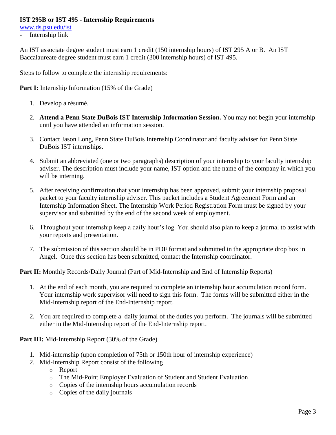## **IST 295B or IST 495 - Internship Requirements**

[www.ds.psu.edu/ist](http://www.ds.psu.edu/ist)

- Internship link

An IST associate degree student must earn 1 credit (150 internship hours) of IST 295 A or B. An IST Baccalaureate degree student must earn 1 credit (300 internship hours) of IST 495.

Steps to follow to complete the internship requirements:

**Part I:** Internship Information (15% of the Grade)

- 1. Develop a résumé.
- 2. **Attend a Penn State DuBois IST Internship Information Session.** You may not begin your internship until you have attended an information session.
- 3. Contact Jason Long, Penn State DuBois Internship Coordinator and faculty adviser for Penn State DuBois IST internships.
- 4. Submit an abbreviated (one or two paragraphs) description of your internship to your faculty internship adviser. The description must include your name, IST option and the name of the company in which you will be interning.
- 5. After receiving confirmation that your internship has been approved, submit your internship proposal packet to your faculty internship adviser. This packet includes a Student Agreement Form and an Internship Information Sheet. The Internship Work Period Registration Form must be signed by your supervisor and submitted by the end of the second week of employment.
- 6. Throughout your internship keep a daily hour's log. You should also plan to keep a journal to assist with your reports and presentation.
- 7. The submission of this section should be in PDF format and submitted in the appropriate drop box in Angel. Once this section has been submitted, contact the Internship coordinator.

Part II: Monthly Records/Daily Journal (Part of Mid-Internship and End of Internship Reports)

- 1. At the end of each month, you are required to complete an internship hour accumulation record form. Your internship work supervisor will need to sign this form. The forms will be submitted either in the Mid-Internship report of the End-Internship report.
- 2. You are required to complete a daily journal of the duties you perform. The journals will be submitted either in the Mid-Internship report of the End-Internship report.

**Part III:** Mid-Internship Report (30% of the Grade)

- 1. Mid-internship (upon completion of 75th or 150th hour of internship experience)
- 2. Mid-Internship Report consist of the following
	- o Report
	- o The Mid-Point Employer Evaluation of Student and Student Evaluation
	- o Copies of the internship hours accumulation records
	- o Copies of the daily journals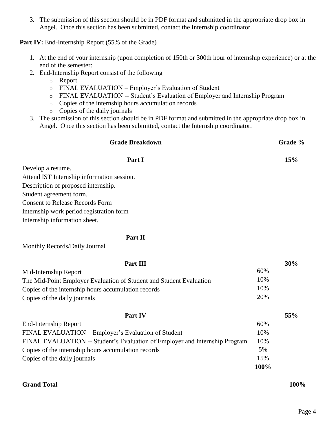3. The submission of this section should be in PDF format and submitted in the appropriate drop box in Angel. Once this section has been submitted, contact the Internship coordinator.

Part IV: End-Internship Report (55% of the Grade)

- 1. At the end of your internship (upon completion of 150th or 300th hour of internship experience) or at the end of the semester:
- 2. End-Internship Report consist of the following
	- o Report
	- o FINAL EVALUATION Employer's Evaluation of Student
	- o FINAL EVALUATION -- Student's Evaluation of Employer and Internship Program
	- o Copies of the internship hours accumulation records
	- o Copies of the daily journals
- 3. The submission of this section should be in PDF format and submitted in the appropriate drop box in Angel. Once this section has been submitted, contact the Internship coordinator.

# **Grade Breakdown Grade %**

# **Part I 15%**

Develop a resume.

Attend IST Internship information session. Description of proposed internship. Student agreement form.

Consent to Release Records Form

Internship work period registration form

Internship information sheet.

# **Part II**

Monthly Records/Daily Journal

| Part III                                                                    |      | 30% |
|-----------------------------------------------------------------------------|------|-----|
| Mid-Internship Report                                                       | 60%  |     |
| The Mid-Point Employer Evaluation of Student and Student Evaluation         | 10%  |     |
| Copies of the internship hours accumulation records                         | 10%  |     |
| Copies of the daily journals                                                | 20%  |     |
| Part IV                                                                     |      | 55% |
| End-Internship Report                                                       | 60%  |     |
| FINAL EVALUATION – Employer's Evaluation of Student                         | 10%  |     |
| FINAL EVALUATION -- Student's Evaluation of Employer and Internship Program | 10%  |     |
| Copies of the internship hours accumulation records                         | 5%   |     |
| Copies of the daily journals                                                | 15%  |     |
|                                                                             | 100% |     |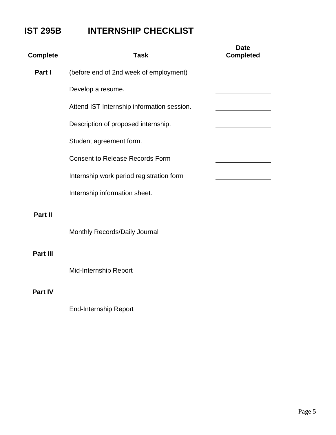# **IST 295B INTERNSHIP CHECKLIST**

| <b>Complete</b> | <b>Task</b>                                | <b>Date</b><br><b>Completed</b> |
|-----------------|--------------------------------------------|---------------------------------|
| Part I          | (before end of 2nd week of employment)     |                                 |
|                 | Develop a resume.                          |                                 |
|                 | Attend IST Internship information session. |                                 |
|                 | Description of proposed internship.        |                                 |
|                 | Student agreement form.                    |                                 |
|                 | <b>Consent to Release Records Form</b>     |                                 |
|                 | Internship work period registration form   |                                 |
|                 | Internship information sheet.              |                                 |
| Part II         |                                            |                                 |
|                 | Monthly Records/Daily Journal              |                                 |
| Part III        |                                            |                                 |
|                 | Mid-Internship Report                      |                                 |
| <b>Part IV</b>  |                                            |                                 |

End-Internship Report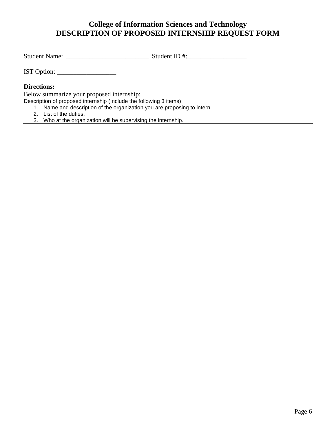# **College of Information Sciences and Technology DESCRIPTION OF PROPOSED INTERNSHIP REQUEST FORM**

Student Name: \_\_\_\_\_\_\_\_\_\_\_\_\_\_\_\_\_\_\_\_\_\_\_\_\_ Student ID #:\_\_\_\_\_\_\_\_\_\_\_\_\_\_\_\_\_\_

IST Option: \_\_\_\_\_\_\_\_\_\_\_\_\_\_\_\_\_\_

### **Directions:**

Below summarize your proposed internship:

Description of proposed internship (Include the following 3 items)

- 1. Name and description of the organization you are proposing to intern.
- 2. List of the duties.
- 3. Who at the organization will be supervising the internship.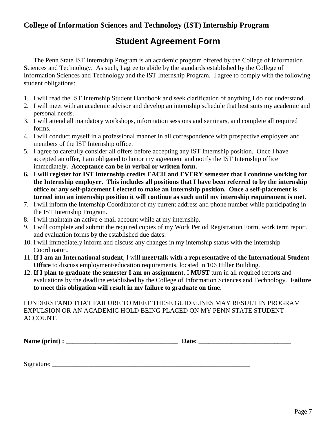# **College of Information Sciences and Technology (IST) Internship Program**

# **Student Agreement Form**

The Penn State IST Internship Program is an academic program offered by the College of Information Sciences and Technology. As such, I agree to abide by the standards established by the College of Information Sciences and Technology and the IST Internship Program. I agree to comply with the following student obligations:

- 1. I will read the IST Internship Student Handbook and seek clarification of anything I do not understand.
- 2. I will meet with an academic advisor and develop an internship schedule that best suits my academic and personal needs.
- 3. I will attend all mandatory workshops, information sessions and seminars, and complete all required forms.
- 4. I will conduct myself in a professional manner in all correspondence with prospective employers and members of the IST Internship office.
- 5. I agree to carefully consider all offers before accepting any IST Internship position. Once I have accepted an offer, I am obligated to honor my agreement and notify the IST Internship office immediately**. Acceptance can be in verbal or written form.**
- **6. I will register for IST Internship credits EACH and EVERY semester that I continue working for the Internship employer. This includes all positions that I have been referred to by the internship office or any self-placement I elected to make an Internship position. Once a self-placement is turned into an internship position it will continue as such until my internship requirement is met.**
- 7. I will inform the Internship Coordinator of my current address and phone number while participating in the IST Internship Program.
- 8. I will maintain an active e-mail account while at my internship.
- 9. I will complete and submit the required copies of my Work Period Registration Form, work term report, and evaluation forms by the established due dates.
- 10. I will immediately inform and discuss any changes in my internship status with the Internship Coordinator..
- 11. **If I am an International student**, I will **meet/talk with a representative of the International Student Office** to discuss employment/education requirements, located in 106 Hiller Building.
- 12. **If I plan to graduate the semester I am on assignment**, I **MUST** turn in all required reports and evaluations by the deadline established by the College of Information Sciences and Technology. **Failure to meet this obligation will result in my failure to graduate on time**.

I UNDERSTAND THAT FAILURE TO MEET THESE GUIDELINES MAY RESULT IN PROGRAM EXPULSION OR AN ACADEMIC HOLD BEING PLACED ON MY PENN STATE STUDENT ACCOUNT.

Signature: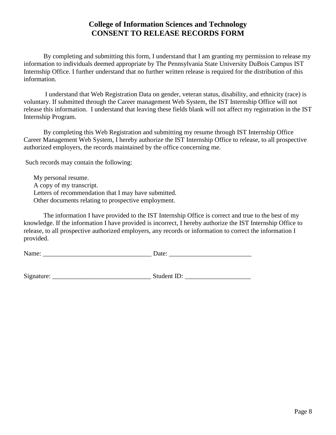# **College of Information Sciences and Technology CONSENT TO RELEASE RECORDS FORM**

By completing and submitting this form, I understand that I am granting my permission to release my information to individuals deemed appropriate by The Pennsylvania State University DuBois Campus IST Internship Office. I further understand that no further written release is required for the distribution of this information.

I understand that Web Registration Data on gender, veteran status, disability, and ethnicity (race) is voluntary. If submitted through the Career management Web System, the IST Internship Office will not release this information. I understand that leaving these fields blank will not affect my registration in the IST Internship Program.

By completing this Web Registration and submitting my resume through IST Internship Office Career Management Web System, I hereby authorize the IST Internship Office to release, to all prospective authorized employers, the records maintained by the office concerning me.

Such records may contain the following:

 My personal resume. A copy of my transcript. Letters of recommendation that I may have submitted. Other documents relating to prospective employment.

The information I have provided to the IST Internship Office is correct and true to the best of my knowledge. If the information I have provided is incorrect, I hereby authorize the IST Internship Office to release, to all prospective authorized employers, any records or information to correct the information I provided.

| N<br>114112<br>----- |  |
|----------------------|--|
|                      |  |

| Signature: | Student ID: |
|------------|-------------|
|            |             |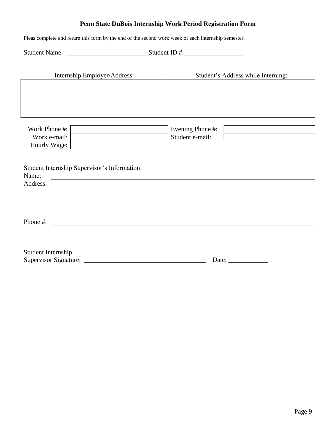# **Penn State DuBois Internship Work Period Registration Form**

Pleas complete and return this form by the end of the second work week of each internship semester.

Student Name: \_\_\_\_\_\_\_\_\_\_\_\_\_\_\_\_\_\_\_\_\_\_\_\_\_Student ID #:\_\_\_\_\_\_\_\_\_\_\_\_\_\_\_\_\_\_

|                              | Internship Employer/Address:                |                  | Student's Address while Interning: |
|------------------------------|---------------------------------------------|------------------|------------------------------------|
|                              |                                             |                  |                                    |
|                              |                                             |                  |                                    |
|                              |                                             |                  |                                    |
| Work Phone #:                |                                             | Evening Phone #: |                                    |
| Work e-mail:<br>Hourly Wage: |                                             | Student e-mail:  |                                    |
|                              |                                             |                  |                                    |
|                              | Student Internship Supervisor's Information |                  |                                    |
| Name:                        |                                             |                  |                                    |
| Address:                     |                                             |                  |                                    |
|                              |                                             |                  |                                    |

Phone #:

| Student Internship    |       |
|-----------------------|-------|
| Supervisor Signature: | Date: |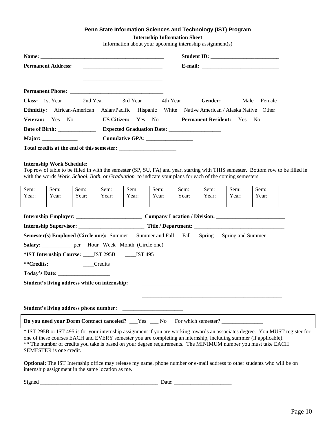#### **Penn State Information Sciences and Technology (IST) Program**

**Internship Information Sheet**

Information about your upcoming internship assignment(s)

| <b>Permanent Address:</b>                         | <u> 2000 - 2000 - 2000 - 2000 - 2000 - 2000 - 2000 - 2000 - 2000 - 2000 - 2000 - 2000 - 2000 - 2000 - 2000 - 200</u> |                                                                                                                                                                                                                                                |
|---------------------------------------------------|----------------------------------------------------------------------------------------------------------------------|------------------------------------------------------------------------------------------------------------------------------------------------------------------------------------------------------------------------------------------------|
|                                                   |                                                                                                                      |                                                                                                                                                                                                                                                |
|                                                   |                                                                                                                      |                                                                                                                                                                                                                                                |
| <b>Class:</b> 1st Year 2nd Year 3rd Year 4th Year |                                                                                                                      | <b>Gender:</b><br>Male<br>Female                                                                                                                                                                                                               |
|                                                   |                                                                                                                      | <b>Ethnicity:</b> African-American Asian/Pacific Hispanic White Native American / Alaska Native Other                                                                                                                                          |
|                                                   |                                                                                                                      | <b>Veteran:</b> Yes No <b>US Citizen:</b> Yes No <b>Permanent Resident:</b> Yes No                                                                                                                                                             |
|                                                   |                                                                                                                      |                                                                                                                                                                                                                                                |
|                                                   | Cumulative GPA: __________________                                                                                   |                                                                                                                                                                                                                                                |
|                                                   |                                                                                                                      |                                                                                                                                                                                                                                                |
|                                                   |                                                                                                                      |                                                                                                                                                                                                                                                |
| <b>Internship Work Schedule:</b>                  |                                                                                                                      | Top row of table to be filled in with the semester (SP, SU, FA) and year, starting with THIS semester. Bottom row to be filled in<br>with the words Work, School, Both, or Graduation to indicate your plans for each of the coming semesters. |

| Sem:                                          | Sem:                         | Sem:                                                               | Sem:  | Sem:  | Sem:  | Sem:  | Sem:                                                                                           | Sem:  | Sem:                         |
|-----------------------------------------------|------------------------------|--------------------------------------------------------------------|-------|-------|-------|-------|------------------------------------------------------------------------------------------------|-------|------------------------------|
| Year:                                         | Year:                        | Year:                                                              | Year: | Year: | Year: | Year: | Year:                                                                                          | Year: | Year:                        |
|                                               |                              |                                                                    |       |       |       |       |                                                                                                |       |                              |
|                                               |                              |                                                                    |       |       |       |       |                                                                                                |       |                              |
|                                               |                              |                                                                    |       |       |       |       |                                                                                                |       | Company Location / Division: |
|                                               |                              |                                                                    |       |       |       |       |                                                                                                |       |                              |
|                                               |                              |                                                                    |       |       |       |       | <b>Semester(s) Employed (Circle one):</b> Summer Summer and Fall Fall Spring Spring and Summer |       |                              |
|                                               |                              | <b>Salary:</b> <u>___________</u> per Hour Week Month (Circle one) |       |       |       |       |                                                                                                |       |                              |
|                                               |                              | *IST Internship Course: _____ IST 295B ______ IST 495              |       |       |       |       |                                                                                                |       |                              |
|                                               | **Credits:<br><b>Credits</b> |                                                                    |       |       |       |       |                                                                                                |       |                              |
|                                               |                              |                                                                    |       |       |       |       |                                                                                                |       |                              |
| Student's living address while on internship: |                              |                                                                    |       |       |       |       |                                                                                                |       |                              |
|                                               |                              |                                                                    |       |       |       |       |                                                                                                |       |                              |
|                                               |                              |                                                                    |       |       |       |       |                                                                                                |       |                              |
|                                               |                              |                                                                    |       |       |       |       |                                                                                                |       |                              |

**Do you need your Dorm Contract canceled?** \_\_\_Yes \_\_\_ No For which semester? \_

\* IST 295B or IST 495 is for your internship assignment if you are working towards an associates degree. You MUST register for one of these courses EACH and EVERY semester you are completing an internship, including summer (if applicable). \*\* The number of credits you take is based on your degree requirements. The MINIMUM number you must take EACH SEMESTER is one credit.

**Optional:** The IST Internship office may release my name, phone number or e-mail address to other students who will be on internship assignment in the same location as me.

| $\sim$<br>$\sim$ $\sim$<br>1512<br>w |  |  |
|--------------------------------------|--|--|
|                                      |  |  |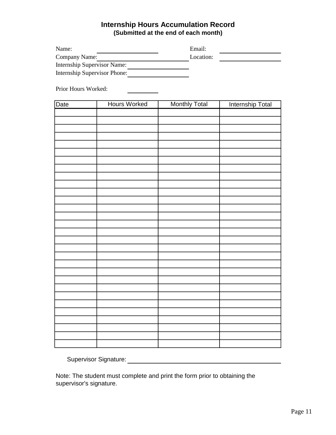# **Internship Hours Accumulation Record (Submitted at the end of each month)**

| Name:                        |                     | Email:               |                  |  |  |  |  |  |
|------------------------------|---------------------|----------------------|------------------|--|--|--|--|--|
| Company Name:                |                     | Location:            |                  |  |  |  |  |  |
| Internship Supervisor Name:  |                     |                      |                  |  |  |  |  |  |
| Internship Supervisor Phone: |                     |                      |                  |  |  |  |  |  |
|                              |                     |                      |                  |  |  |  |  |  |
|                              | Prior Hours Worked: |                      |                  |  |  |  |  |  |
| Date                         | <b>Hours Worked</b> | <b>Monthly Total</b> | Internship Total |  |  |  |  |  |
|                              |                     |                      |                  |  |  |  |  |  |
|                              |                     |                      |                  |  |  |  |  |  |
|                              |                     |                      |                  |  |  |  |  |  |
|                              |                     |                      |                  |  |  |  |  |  |
|                              |                     |                      |                  |  |  |  |  |  |
|                              |                     |                      |                  |  |  |  |  |  |
|                              |                     |                      |                  |  |  |  |  |  |
|                              |                     |                      |                  |  |  |  |  |  |
|                              |                     |                      |                  |  |  |  |  |  |
|                              |                     |                      |                  |  |  |  |  |  |
|                              |                     |                      |                  |  |  |  |  |  |
|                              |                     |                      |                  |  |  |  |  |  |
|                              |                     |                      |                  |  |  |  |  |  |
|                              |                     |                      |                  |  |  |  |  |  |
|                              |                     |                      |                  |  |  |  |  |  |
|                              |                     |                      |                  |  |  |  |  |  |
|                              |                     |                      |                  |  |  |  |  |  |
|                              |                     |                      |                  |  |  |  |  |  |
|                              |                     |                      |                  |  |  |  |  |  |
|                              |                     |                      |                  |  |  |  |  |  |
|                              |                     |                      |                  |  |  |  |  |  |
|                              |                     |                      |                  |  |  |  |  |  |
|                              |                     |                      |                  |  |  |  |  |  |
|                              |                     |                      |                  |  |  |  |  |  |
|                              |                     |                      |                  |  |  |  |  |  |
|                              |                     |                      |                  |  |  |  |  |  |
|                              |                     |                      |                  |  |  |  |  |  |
|                              |                     |                      |                  |  |  |  |  |  |
|                              |                     |                      |                  |  |  |  |  |  |
|                              |                     |                      |                  |  |  |  |  |  |

Supervisor Signature:

Note: The student must complete and print the form prior to obtaining the supervisor's signature.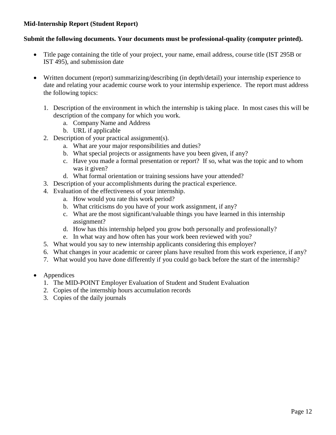# **Mid-Internship Report (Student Report)**

# **Submit the following documents. Your documents must be professional-quality (computer printed).**

- Title page containing the title of your project, your name, email address, course title (IST 295B or IST 495), and submission date
- Written document (report) summarizing/describing (in depth/detail) your internship experience to date and relating your academic course work to your internship experience. The report must address the following topics:
	- 1. Description of the environment in which the internship is taking place. In most cases this will be description of the company for which you work.
		- a. Company Name and Address
		- b. URL if applicable
	- 2. Description of your practical assignment(s).
		- a. What are your major responsibilities and duties?
		- b. What special projects or assignments have you been given, if any?
		- c. Have you made a formal presentation or report? If so, what was the topic and to whom was it given?
		- d. What formal orientation or training sessions have your attended?
	- 3. Description of your accomplishments during the practical experience.
	- 4. Evaluation of the effectiveness of your internship.
		- a. How would you rate this work period?
		- b. What criticisms do you have of your work assignment, if any?
		- c. What are the most significant/valuable things you have learned in this internship assignment?
		- d. How has this internship helped you grow both personally and professionally?
		- e. In what way and how often has your work been reviewed with you?
	- 5. What would you say to new internship applicants considering this employer?
	- 6. What changes in your academic or career plans have resulted from this work experience, if any?
	- 7. What would you have done differently if you could go back before the start of the internship?
- Appendices
	- 1. The MID-POINT Employer Evaluation of Student and Student Evaluation
	- 2. Copies of the internship hours accumulation records
	- 3. Copies of the daily journals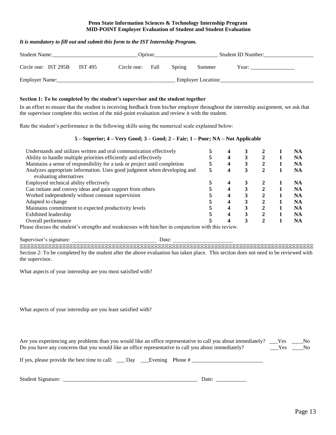#### **Penn State Information Sciences & Technology Internship Program MID-POINT Employer Evaluation of Student and Student Evaluation**

#### *It is mandatory to fill out and submit this form to the IST Internship Program.*

| <b>Student Name:</b>            | Option:     |      |        |                    | Student ID Number: |
|---------------------------------|-------------|------|--------|--------------------|--------------------|
| Circle one: IST 295B<br>IST 495 | Circle one: | Fall | Spring | Summer             | Year:              |
| Employer Name:                  |             |      |        | Employer Location: |                    |

#### **Section 1: To be completed by the student's supervisor and the student together**

In an effort to ensure that the student is receiving feedback from his/her employer throughout the internship assignment, we ask that the supervisor complete this section of the mid-point evaluation and review it with the student.

Rate the student's performance in the following skills using the numerical scale explained below:

#### **5 – Superior; 4 – Very Good; 3 – Good; 2 – Fair; 1 – Poor; NA – Not Applicable**

| Understands and utilizes written and oral communication effectively        |   |   |   |   | NA  |
|----------------------------------------------------------------------------|---|---|---|---|-----|
| Ability to handle multiple priorities efficiently and effectively          |   | 4 |   |   | NA  |
| Maintains a sense of responsibility for a task or project until completion |   | 4 | 3 |   | NA  |
| Analyzes appropriate information. Uses good judgment when developing and   | 5 |   | 3 | 2 | NA  |
| evaluating alternatives                                                    |   |   |   |   |     |
| Employed technical ability effectively                                     |   |   |   |   | NA. |
| Can initiate and convey ideas and gain support from others                 |   | 4 |   |   | NA  |
| Worked independently without constant supervision                          |   | 4 | 3 | ↑ | NA  |
| Adapted to change                                                          |   |   |   | ↑ | NA  |
| Maintains commitment to expected productivity levels                       |   | 4 |   | ↑ | NA  |
| Exhibited leadership                                                       |   |   | 3 |   | NA  |
| Overall performance                                                        |   |   |   |   | NA  |

Please discuss the student's strengths and weaknesses with him/her in conjunction with this review.

Supervisor's signature: <br>Date:

 Section 2: To be completed by the student after the above evaluation has taken place. This section does not need to be reviewed with the supervisor.

What aspects of your internship are you most satisfied with?

What aspects of your internship are you least satisfied with?

| Are you experiencing any problems than you would like an office representative to call you about immediately? ___Yes |     | No. |
|----------------------------------------------------------------------------------------------------------------------|-----|-----|
| Do you have any concerns that you would like an office representative to call you about immediately?                 | Yes | No. |

| If yes, please provide the best time to call: __ Day __ Evening Phone # |  |  |  |
|-------------------------------------------------------------------------|--|--|--|
|-------------------------------------------------------------------------|--|--|--|

Student Signature: \_\_\_\_\_\_\_\_\_\_\_\_\_\_\_\_\_\_\_\_\_\_\_\_\_\_\_\_\_\_\_\_\_\_\_\_\_\_\_\_\_\_\_\_\_\_\_\_\_ Date: \_\_\_\_\_\_\_\_\_\_\_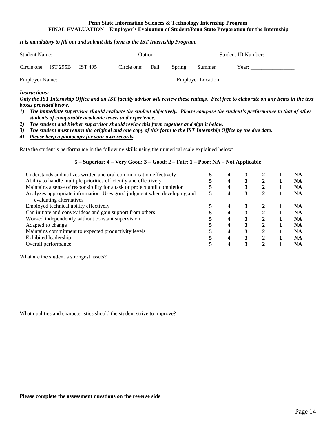#### **Penn State Information Sciences & Technology Internship Program FINAL EVALUATION – Employer's Evaluation of Student/Penn State Preparation for the Internship**

#### *It is mandatory to fill out and submit this form to the IST Internship Program.*

| <b>Student Name:</b> |  |         |             | Option: |        |                    | Student ID Number: |
|----------------------|--|---------|-------------|---------|--------|--------------------|--------------------|
| Circle one: IST 295B |  | IST 495 | Circle one: | Fall    | Spring | Summer             | Year:              |
| Employer Name:       |  |         |             |         |        | Employer Location: |                    |

#### *Instructions:*

*Only the IST Internship Office and an IST faculty advisor will review these ratings. Feel free to elaborate on any items in the text boxes provided below.*

- *1) The immediate supervisor should evaluate the student objectively. Please compare the student's performance to that of other students of comparable academic levels and experience.*
- *2) The student and his/her supervisor should review this form together and sign it below.*
- *3) The student must return the original and one copy of this form to the IST Internship Office by the due date.*
- *4) Please keep a photocopy for your own records.*

Rate the student's performance in the following skills using the numerical scale explained below:

#### **5 – Superior; 4 – Very Good; 3 – Good; 2 – Fair; 1 – Poor; NA – Not Applicable**

| Understands and utilizes written and oral communication effectively        |   |   |   |   | <b>NA</b> |
|----------------------------------------------------------------------------|---|---|---|---|-----------|
| Ability to handle multiple priorities efficiently and effectively          |   | 4 |   |   | NA        |
| Maintains a sense of responsibility for a task or project until completion |   | 4 | 3 |   | NA        |
| Analyzes appropriate information. Uses good judgment when developing and   | 5 | 4 | 3 | 2 | NA        |
| evaluating alternatives                                                    |   |   |   |   |           |
| Employed technical ability effectively                                     |   |   |   |   | <b>NA</b> |
| Can initiate and convey ideas and gain support from others                 |   | 4 |   |   | NA        |
| Worked independently without constant supervision                          |   | 4 |   | ∍ | NA        |
| Adapted to change                                                          |   |   |   | ◠ | <b>NA</b> |
| Maintains commitment to expected productivity levels                       |   | 4 | 3 | ↑ | <b>NA</b> |
| Exhibited leadership                                                       |   | 4 |   |   | <b>NA</b> |
| Overall performance                                                        |   |   |   |   | NA        |

What are the student's strongest assets?

What qualities and characteristics should the student strive to improve?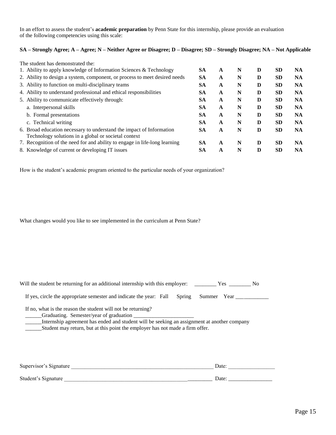In an effort to assess the student's **academic preparation** by Penn State for this internship, please provide an evaluation of the following competencies using this scale:

#### **SA – Strongly Agree; A – Agree; N – Neither Agree or Disagree; D – Disagree; SD – Strongly Disagree; NA – Not Applicable**

| The student has demonstrated the:                                                                                            |           |              |   |   |           |           |
|------------------------------------------------------------------------------------------------------------------------------|-----------|--------------|---|---|-----------|-----------|
| 1. Ability to apply knowledge of Information Sciences & Technology                                                           | <b>SA</b> | A            | N | D | <b>SD</b> | <b>NA</b> |
| 2. Ability to design a system, component, or process to meet desired needs                                                   | <b>SA</b> | A            | N | D | <b>SD</b> | <b>NA</b> |
| 3. Ability to function on multi-disciplinary teams                                                                           | <b>SA</b> | A            | N | D | <b>SD</b> | <b>NA</b> |
| 4. Ability to understand professional and ethical responsibilities                                                           | <b>SA</b> | A            | N | D | <b>SD</b> | <b>NA</b> |
| 5. Ability to communicate effectively through:                                                                               | <b>SA</b> | A            | N | D | <b>SD</b> | <b>NA</b> |
| a. Interpersonal skills                                                                                                      | <b>SA</b> | A            | N | D | <b>SD</b> | <b>NA</b> |
| b. Formal presentations                                                                                                      | <b>SA</b> | A            | N | D | <b>SD</b> | <b>NA</b> |
| c. Technical writing                                                                                                         | <b>SA</b> | A            | N | D | <b>SD</b> | <b>NA</b> |
| 6. Broad education necessary to understand the impact of Information<br>Technology solutions in a global or societal context | <b>SA</b> | A            | N | D | <b>SD</b> | <b>NA</b> |
| 7. Recognition of the need for and ability to engage in life-long learning                                                   | <b>SA</b> | $\mathbf{A}$ | N | D | <b>SD</b> | <b>NA</b> |
| 8. Knowledge of current or developing IT issues                                                                              | <b>SA</b> | A            | N | D | <b>SD</b> | <b>NA</b> |

How is the student's academic program oriented to the particular needs of your organization?

What changes would you like to see implemented in the curriculum at Penn State?

| Will the student be returning for an additional internship with this employer: Yes Wes Westerman No                                                                                                                                          |             |
|----------------------------------------------------------------------------------------------------------------------------------------------------------------------------------------------------------------------------------------------|-------------|
| If yes, circle the appropriate semester and indicate the year: Fall<br>Spring                                                                                                                                                                | Summer Year |
| If no, what is the reason the student will not be returning?<br>Internship agreement has ended and student will be seeking an assignment at another company<br>Student may return, but at this point the employer has not made a firm offer. |             |
| Supervisor's Signature                                                                                                                                                                                                                       | Date:       |
| Student's Signature                                                                                                                                                                                                                          | Date:       |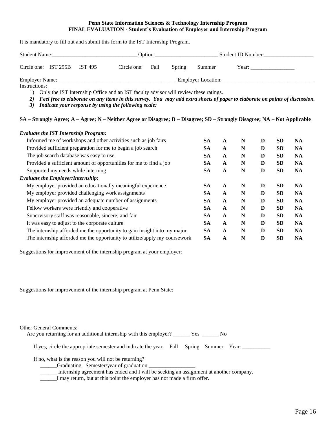#### **Penn State Information Sciences & Technology Internship Program FINAL EVALUATION - Student's Evaluation of Employer and Internship Program**

It is mandatory to fill out and submit this form to the IST Internship Program.

| <b>Student Name:</b> |  |         | Option:     |      |        |                    | Student ID Number: |
|----------------------|--|---------|-------------|------|--------|--------------------|--------------------|
| Circle one: IST 295B |  | IST 495 | Circle one: | Fall | Spring | Summer             | Year:              |
| Employer Name:       |  |         |             |      |        | Employer Location: |                    |
| Instructions:        |  |         |             |      |        |                    |                    |

1) Only the IST Internship Office and an IST faculty advisor will review these ratings.

- *2) Feel free to elaborate on any items in this survey. You may add extra sheets of paper to elaborate on points of discussion.*
- *3) Indicate your response by using the following scale:*

#### **SA – Strongly Agree; A – Agree; N – Neither Agree or Disagree; D – Disagree; SD – Strongly Disagree; NA – Not Applicable**

| <b>Evaluate the IST Internship Program:</b>                               |           |              |   |   |           |           |
|---------------------------------------------------------------------------|-----------|--------------|---|---|-----------|-----------|
| Informed me of workshops and other activities such as job fairs           | <b>SA</b> | A            | N | D | <b>SD</b> | <b>NA</b> |
| Provided sufficient preparation for me to begin a job search              | <b>SA</b> | A            | N | D | <b>SD</b> | <b>NA</b> |
| The job search database was easy to use                                   | <b>SA</b> | A            | N | D | <b>SD</b> | <b>NA</b> |
| Provided a sufficient amount of opportunities for me to find a job        | <b>SA</b> | $\mathbf{A}$ | N | D | <b>SD</b> | <b>NA</b> |
| Supported my needs while interning                                        | <b>SA</b> | A            | N | D | <b>SD</b> | <b>NA</b> |
| <b>Evaluate the Employer/Internship:</b>                                  |           |              |   |   |           |           |
| My employer provided an educationally meaningful experience               | <b>SA</b> | $\mathbf{A}$ | N | D | <b>SD</b> | <b>NA</b> |
| My employer provided challenging work assignments                         | <b>SA</b> | $\mathbf{A}$ | N | D | <b>SD</b> | <b>NA</b> |
| My employer provided an adequate number of assignments                    | <b>SA</b> | A            | N | D | <b>SD</b> | <b>NA</b> |
| Fellow workers were friendly and cooperative                              | <b>SA</b> | A            | N | D | <b>SD</b> | <b>NA</b> |
| Supervisory staff was reasonable, sincere, and fair                       | <b>SA</b> | $\mathbf{A}$ | N | D | <b>SD</b> | <b>NA</b> |
| It was easy to adjust to the corporate culture                            | <b>SA</b> | $\mathbf{A}$ | N | D | <b>SD</b> | <b>NA</b> |
| The internship afforded me the opportunity to gain insight into my major  | <b>SA</b> | $\mathbf{A}$ | N | D | <b>SD</b> | <b>NA</b> |
| The internship afforded me the opportunity to utilize/apply my coursework | <b>SA</b> | A            | N | D | <b>SD</b> | <b>NA</b> |

Suggestions for improvement of the internship program at your employer:

Suggestions for improvement of the internship program at Penn State:

| <b>Other General Comments:</b> |                                                                                              |
|--------------------------------|----------------------------------------------------------------------------------------------|
|                                | Are you returning for an additional internship with this employer? _________ Yes ________ No |
|                                |                                                                                              |
|                                | If yes, circle the appropriate semester and indicate the year: Fall Spring Summer Year:      |
|                                |                                                                                              |
|                                | If no, what is the reason you will not be returning?                                         |
|                                | Craduating. Semester/year of graduation                                                      |
|                                | Internship agreement has ended and I will be seeking an assignment at another company.       |
|                                | Tanan satu sa kutokat da da sana da sana banya hasa sa tana da a Casa a Casa                 |

\_\_\_\_\_\_I may return, but at this point the employer has not made a firm offer.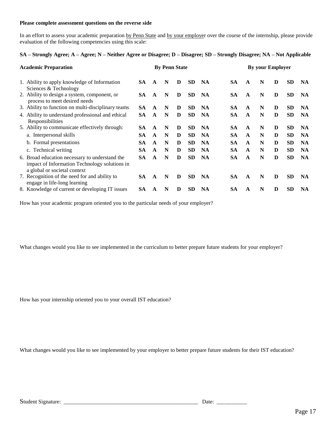#### **Please complete assessment questions on the reverse side**

In an effort to assess your academic preparation by Penn State and by your employer over the course of the internship, please provide evaluation of the following competencies using this scale:

#### **SA – Strongly Agree; A – Agree; N – Neither Agree or Disagree; D – Disagree; SD – Strongly Disagree; NA – Not Applicable**

| <b>Academic Preparation</b> |                                                                                                                                 |           | <b>By Penn State</b> |   |   |           |           |           | <b>By your Employer</b> |   |   |           |           |  |
|-----------------------------|---------------------------------------------------------------------------------------------------------------------------------|-----------|----------------------|---|---|-----------|-----------|-----------|-------------------------|---|---|-----------|-----------|--|
|                             | 1. Ability to apply knowledge of Information                                                                                    | SA.       | A                    | N | D | <b>SD</b> | <b>NA</b> | <b>SA</b> | $\mathbf{A}$            | N | D | <b>SD</b> | <b>NA</b> |  |
|                             | Sciences & Technology<br>2. Ability to design a system, component, or<br>process to meet desired needs                          | SА        | A                    | N | D | <b>SD</b> | <b>NA</b> | <b>SA</b> | $\mathbf{A}$            | N | D | <b>SD</b> | <b>NA</b> |  |
|                             | 3. Ability to function on multi-disciplinary teams                                                                              | SА        | A                    | N | D | <b>SD</b> | <b>NA</b> | SA.       | A                       | N | D | <b>SD</b> | <b>NA</b> |  |
|                             | 4. Ability to understand professional and ethical<br>Responsibilities                                                           | SA        | $\mathbf{A}$         | N | D | <b>SD</b> | <b>NA</b> | <b>SA</b> | A                       | N | D | <b>SD</b> | <b>NA</b> |  |
|                             | 5. Ability to communicate effectively through:                                                                                  | SА        | A                    | N | D | <b>SD</b> | <b>NA</b> | <b>SA</b> | A                       | N | D | <b>SD</b> | <b>NA</b> |  |
|                             | a. Interpersonal skills                                                                                                         | SА        | A                    | N | D | <b>SD</b> | <b>NA</b> | <b>SA</b> | $\mathbf{A}$            | N | D | <b>SD</b> | <b>NA</b> |  |
|                             | b. Formal presentations                                                                                                         | <b>SA</b> | $\mathbf{A}$         | N | D | <b>SD</b> | <b>NA</b> | <b>SA</b> | A                       | N | D | <b>SD</b> | <b>NA</b> |  |
|                             | c. Technical writing                                                                                                            | SА        | A                    | N | D | <b>SD</b> | <b>NA</b> | <b>SA</b> | A                       | N | D | <b>SD</b> | <b>NA</b> |  |
|                             | 6. Broad education necessary to understand the<br>impact of Information Technology solutions in<br>a global or societal context | SА        | $\mathbf{A}$         | N | D | <b>SD</b> | <b>NA</b> | <b>SA</b> | $\mathbf{A}$            | N | D | <b>SD</b> | <b>NA</b> |  |
|                             | 7. Recognition of the need for and ability to<br>engage in life-long learning                                                   | SA.       | A                    | N | D | <b>SD</b> | <b>NA</b> | <b>SA</b> | $\mathbf{A}$            | N | D | <b>SD</b> | <b>NA</b> |  |
|                             | 8. Knowledge of current or developing IT issues                                                                                 | SА        | A                    | N | D | <b>SD</b> | <b>NA</b> | <b>SA</b> | A                       | N | D | <b>SD</b> | <b>NA</b> |  |

How has your academic program oriented you to the particular needs of your employer?

What changes would you like to see implemented in the curriculum to better prepare future students for your employer?

How has your internship oriented you to your overall IST education?

What changes would you like to see implemented by your employer to better prepare future students for their IST education?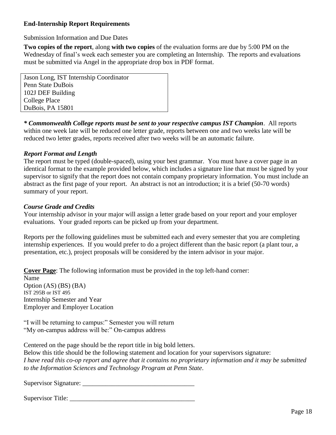# **End-Internship Report Requirements**

Submission Information and Due Dates

**Two copies of the report**, along **with two copies** of the evaluation forms are due by 5:00 PM on the Wednesday of final's week each semester you are completing an Internship. The reports and evaluations must be submitted via Angel in the appropriate drop box in PDF format.

Jason Long, IST Internship Coordinator Penn State DuBois 102J DEF Building College Place DuBois, PA 15801

*\* Commonwealth College reports must be sent to your respective campus IST Champion*. All reports within one week late will be reduced one letter grade, reports between one and two weeks late will be reduced two letter grades, reports received after two weeks will be an automatic failure.

## *Report Format and Length*

The report must be typed (double-spaced), using your best grammar. You must have a cover page in an identical format to the example provided below, which includes a signature line that must be signed by your supervisor to signify that the report does not contain company proprietary information. You must include an abstract as the first page of your report. An abstract is not an introduction; it is a brief (50-70 words) summary of your report.

# *Course Grade and Credits*

Your internship advisor in your major will assign a letter grade based on your report and your employer evaluations. Your graded reports can be picked up from your department.

Reports per the following guidelines must be submitted each and every semester that you are completing internship experiences. If you would prefer to do a project different than the basic report (a plant tour, a presentation, etc.), project proposals will be considered by the intern advisor in your major.

**Cover Page**: The following information must be provided in the top left-hand corner:

Name Option (AS) (BS) (BA) IST 295B or IST 495 Internship Semester and Year Employer and Employer Location

"I will be returning to campus:" Semester you will return "My on-campus address will be:" On-campus address

Centered on the page should be the report title in big bold letters.

Below this title should be the following statement and location for your supervisors signature: *I have read this co-op report and agree that it contains no proprietary information and it may be submitted to the Information Sciences and Technology Program at Penn State*.

Supervisor Signature: \_\_\_\_\_\_\_\_\_\_\_\_\_\_\_\_\_\_\_\_\_\_\_\_\_\_\_\_\_\_\_\_\_\_

Supervisor Title:  $\overline{\phantom{a}}$